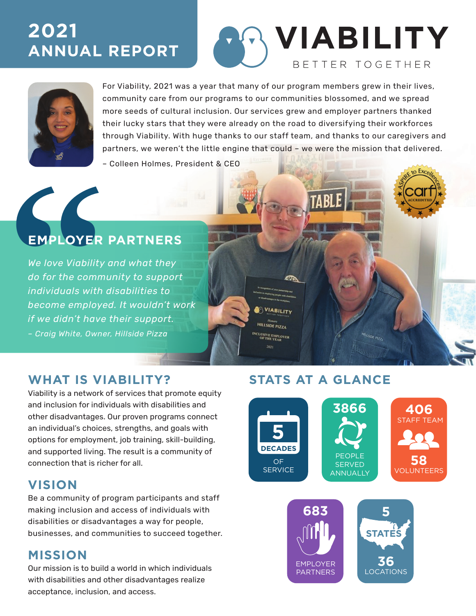# **2021 ANNUAL REPORT**

# **VIABILITY** BETTER TOGETHER



For Viability, 2021 was a year that many of our program members grew in their lives, community care from our programs to our communities blossomed, and we spread more seeds of cultural inclusion. Our services grew and employer partners thanked their lucky stars that they were already on the road to diversifying their workforces through Viability. With huge thanks to our staff team, and thanks to our caregivers and partners, we weren't the little engine that could – we were the mission that delivered.

> VIABILITY **HILLSIDE PIZZA LUSIVE EMPLOYEE**<br>OF THE YEAR

– Colleen Holmes, President & CEO

## **EMPLOYER PARTNERS**

**EMPLOYER P**<br>We love Viability are<br>do for the communindividuals with dis<br>become employed.<br>if we didn't have the - Craig White, Owner, I *We love Viability and what they do for the community to support individuals with disabilities to become employed. It wouldn't work if we didn't have their support. – Craig White, Owner, Hillside Pizza*

**WHAT IS VIABILITY? STATS AT A GLANCE**

Viability is a network of services that promote equity and inclusion for individuals with disabilities and other disadvantages. Our proven programs connect an individual's choices, strengths, and goals with options for employment, job training, skill-building, and supported living. The result is a community of connection that is richer for all.

### **VISION**

Be a community of program participants and staff making inclusion and access of individuals with disabilities or disadvantages a way for people, businesses, and communities to succeed together.

### **MISSION**

Our mission is to build a world in which individuals with disabilities and other disadvantages realize acceptance, inclusion, and access.